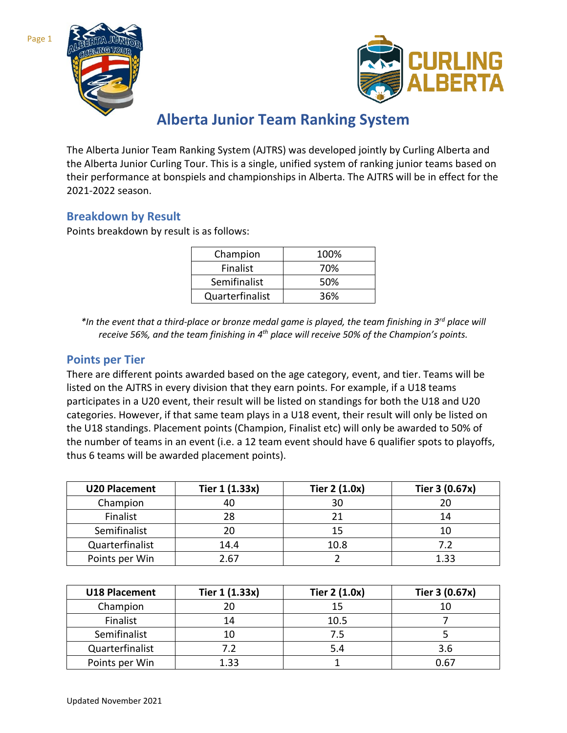



# **Alberta Junior Team Ranking System**

The Alberta Junior Team Ranking System (AJTRS) was developed jointly by Curling Alberta and the Alberta Junior Curling Tour. This is a single, unified system of ranking junior teams based on their performance at bonspiels and championships in Alberta. The AJTRS will be in effect for the 2021-2022 season.

#### **Breakdown by Result**

Points breakdown by result is as follows:

| Champion        | 100% |
|-----------------|------|
| Finalist        | 70%  |
| Semifinalist    | 50%  |
| Quarterfinalist | 36%  |

*\*In the event that a third-place or bronze medal game is played, the team finishing in 3rd place will receive 56%, and the team finishing in 4th place will receive 50% of the Champion's points.*

#### **Points per Tier**

There are different points awarded based on the age category, event, and tier. Teams will be listed on the AJTRS in every division that they earn points. For example, if a U18 teams participates in a U20 event, their result will be listed on standings for both the U18 and U20 categories. However, if that same team plays in a U18 event, their result will only be listed on the U18 standings. Placement points (Champion, Finalist etc) will only be awarded to 50% of the number of teams in an event (i.e. a 12 team event should have 6 qualifier spots to playoffs, thus 6 teams will be awarded placement points).

| <b>U20 Placement</b> | Tier 1 (1.33x) | Tier 2 (1.0x) | Tier 3 (0.67x) |
|----------------------|----------------|---------------|----------------|
| Champion             | 40             | 30            |                |
| Finalist             | 28             |               | 14             |
| Semifinalist         | 20             | 15            |                |
| Quarterfinalist      | 14.4           | 10.8          |                |
| Points per Win       | 2.67           |               | 1.33           |

| <b>U18 Placement</b> | Tier 1 (1.33x) | Tier 2 (1.0x) | Tier 3 (0.67x) |
|----------------------|----------------|---------------|----------------|
| Champion             | 20             | 15            |                |
| Finalist             | 14             | 10.5          |                |
| Semifinalist         | 10             | 7.5           |                |
| Quarterfinalist      | 7.2            | 5.4           | 3.6            |
| Points per Win       | 1.33           |               | 0.67           |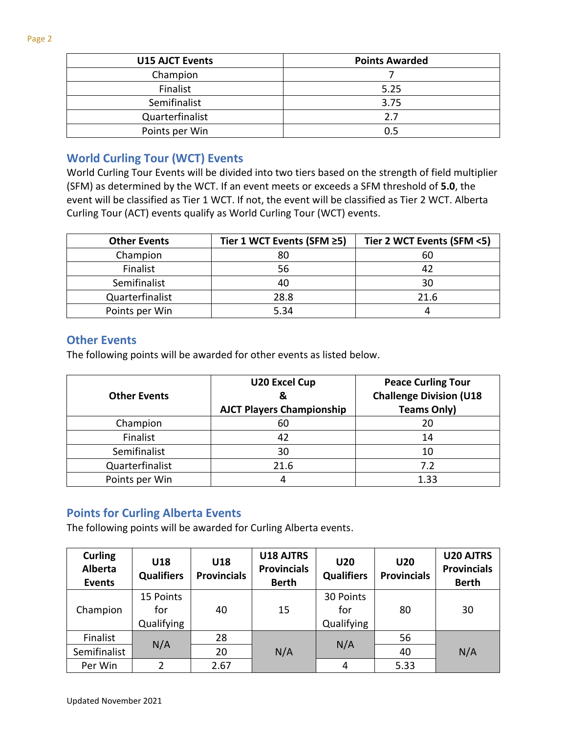| <b>U15 AJCT Events</b> | <b>Points Awarded</b> |  |
|------------------------|-----------------------|--|
| Champion               |                       |  |
| Finalist               | 5.25                  |  |
| Semifinalist           | 3.75                  |  |
| Quarterfinalist        | 2.7                   |  |
| Points per Win         | 0.5                   |  |

# **World Curling Tour (WCT) Events**

World Curling Tour Events will be divided into two tiers based on the strength of field multiplier (SFM) as determined by the WCT. If an event meets or exceeds a SFM threshold of **5.0**, the event will be classified as Tier 1 WCT. If not, the event will be classified as Tier 2 WCT. Alberta Curling Tour (ACT) events qualify as World Curling Tour (WCT) events.

| <b>Other Events</b> | Tier 1 WCT Events (SFM ≥5) | Tier 2 WCT Events (SFM <5) |
|---------------------|----------------------------|----------------------------|
| Champion            | 80                         | 60                         |
| Finalist            | 56                         | 42                         |
| Semifinalist        |                            | 30                         |
| Quarterfinalist     | 28.8                       | 21.6                       |
| Points per Win      | 5.34                       |                            |

#### **Other Events**

The following points will be awarded for other events as listed below.

| <b>Other Events</b> | <b>U20 Excel Cup</b><br>&<br><b>AJCT Players Championship</b> | <b>Peace Curling Tour</b><br><b>Challenge Division (U18</b><br><b>Teams Only)</b> |
|---------------------|---------------------------------------------------------------|-----------------------------------------------------------------------------------|
| Champion            | 60                                                            | 20                                                                                |
| Finalist            | 42                                                            | 14                                                                                |
| Semifinalist        | 30                                                            | 10                                                                                |
| Quarterfinalist     | 21.6                                                          | 7.2                                                                               |
| Points per Win      |                                                               | 1.33                                                                              |

## **Points for Curling Alberta Events**

The following points will be awarded for Curling Alberta events.

| <b>Curling</b><br><b>Alberta</b><br><b>Events</b> | U18<br><b>Qualifiers</b>       | U18<br><b>Provincials</b> | U18 AJTRS<br><b>Provincials</b><br><b>Berth</b> | <b>U20</b><br><b>Qualifiers</b> | <b>U20</b><br><b>Provincials</b> | <b>U20 AJTRS</b><br><b>Provincials</b><br><b>Berth</b> |
|---------------------------------------------------|--------------------------------|---------------------------|-------------------------------------------------|---------------------------------|----------------------------------|--------------------------------------------------------|
| Champion                                          | 15 Points<br>for<br>Qualifying | 40                        | 15                                              | 30 Points<br>for<br>Qualifying  | 80                               | 30                                                     |
| Finalist                                          |                                | 28                        |                                                 |                                 | 56                               |                                                        |
| Semifinalist                                      | N/A                            | 20                        | N/A                                             | N/A                             | 40                               | N/A                                                    |
| Per Win                                           | $\overline{2}$                 | 2.67                      |                                                 | 4                               | 5.33                             |                                                        |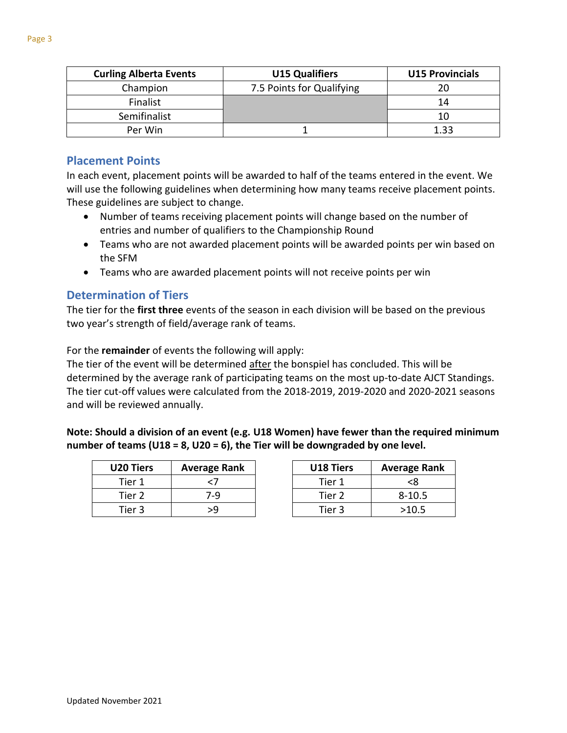| <b>Curling Alberta Events</b> | <b>U15 Qualifiers</b>     | <b>U15 Provincials</b> |
|-------------------------------|---------------------------|------------------------|
| Champion                      | 7.5 Points for Qualifying |                        |
| Finalist                      |                           | 14                     |
| Semifinalist                  |                           | 10                     |
| Per Win                       |                           | 1 22                   |

### **Placement Points**

In each event, placement points will be awarded to half of the teams entered in the event. We will use the following guidelines when determining how many teams receive placement points. These guidelines are subject to change.

- Number of teams receiving placement points will change based on the number of entries and number of qualifiers to the Championship Round
- Teams who are not awarded placement points will be awarded points per win based on the SFM
- Teams who are awarded placement points will not receive points per win

#### **Determination of Tiers**

The tier for the **first three** events of the season in each division will be based on the previous two year's strength of field/average rank of teams.

For the **remainder** of events the following will apply:

The tier of the event will be determined after the bonspiel has concluded. This will be determined by the average rank of participating teams on the most up-to-date AJCT Standings. The tier cut-off values were calculated from the 2018-2019, 2019-2020 and 2020-2021 seasons and will be reviewed annually.

**Note: Should a division of an event (e.g. U18 Women) have fewer than the required minimum number of teams (U18 = 8, U20 = 6), the Tier will be downgraded by one level.** 

| <b>U20 Tiers</b> | <b>Average Rank</b> |
|------------------|---------------------|
| Tier 1           | 7>                  |
| Tier 2           | 7-9                 |
| Tier 3           | 59                  |

| U18 Tiers | <b>Average Rank</b> |
|-----------|---------------------|
| Tier 1    | <ጾ                  |
| Tier 2    | $8 - 10.5$          |
| Tier 3    | >10.5               |